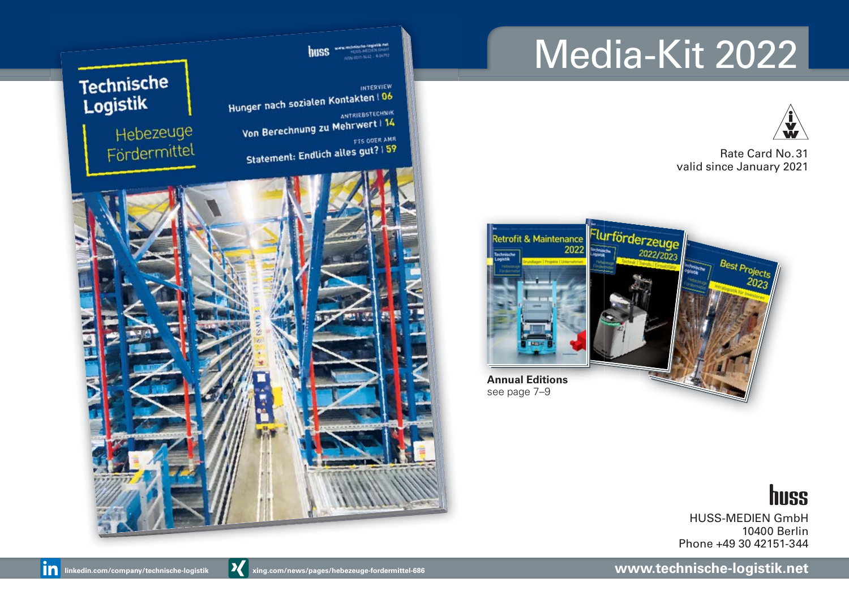# Media-Kit 2022



Rate Card No. 31 valid since January 2021





**INTERVIEW** Hunger nach sozialen Kontakten | 06 ANTRIEBSTECHNIK ANTRIEBSTECHNIK<br>Von Berechnung zu Mehrwert | 14 FTS ODER AMR **Statement: Endlich alles gut?** 1 59

# **Technische** Logistik

Hebezeuge Fördermittel



huss

HUSS-MEDIEN GmbH 10400 Berlin Phone +49 30 42151-344

**www.technische-logistik.net**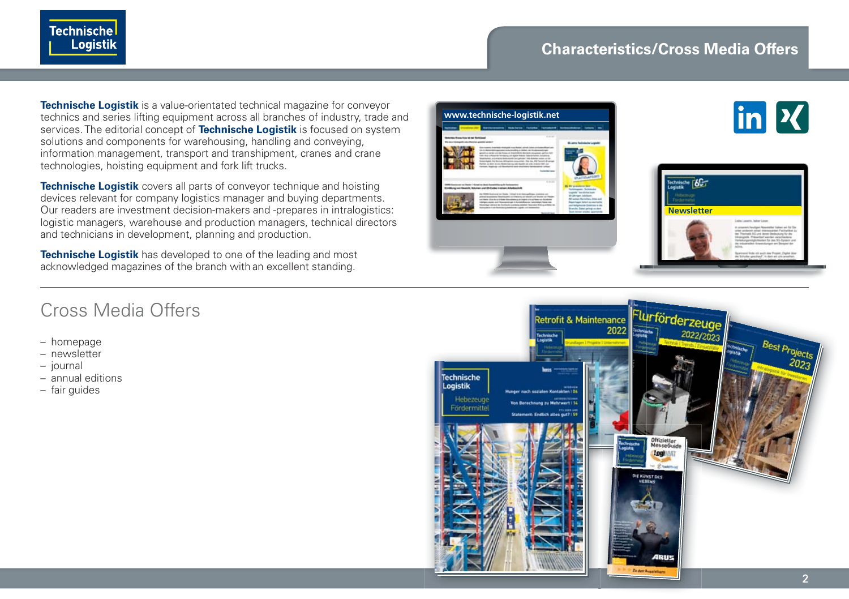

## **Characteristics/Cross Media Offers**

**Technische Logistik** is a value-orientated technical magazine for conveyor technics and series lifting equipment across all branches of industry, trade and services. The editorial concept of **Technische Logistik** is focused on system solutions and components for warehousing, handling and conveying, information management, transport and transhipment, cranes and crane technologies, hoisting equipment and fork lift trucks.

**Technische Logistik** covers all parts of conveyor technique and hoisting devices relevant for company logistics manager and buying departments. Our readers are investment decision-makers and -prepares in intralogistics: logistic managers, warehouse and production managers, technical directors and technicians in development, planning and production.

**Technische Logistik** has developed to one of the leading and most acknowledged magazines of the branch with an excellent standing.







## Cross Media Offers

- homepage
- newsletter
- journal
- annual editions
- fair guides

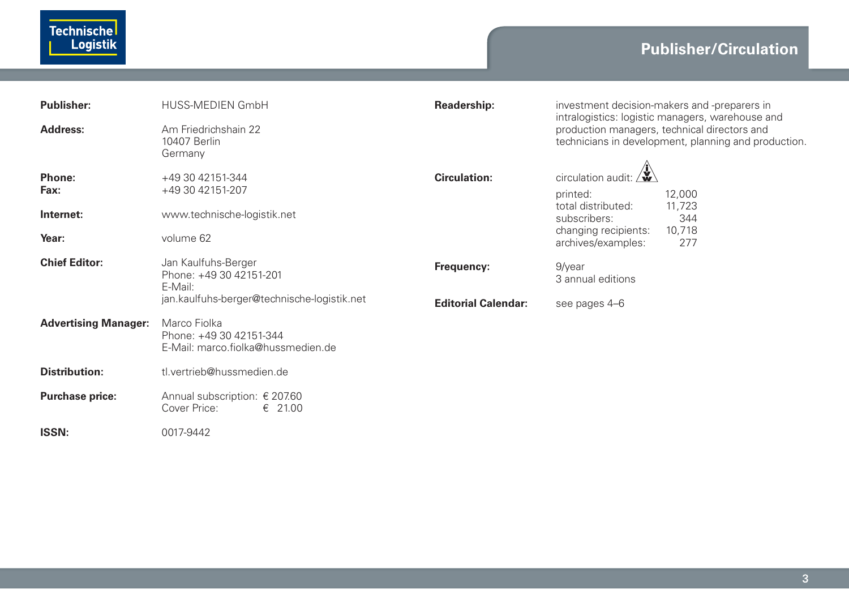| <b>Publisher:</b>           | HUSS-MEDIEN GmbH                                                              | Readership:                | investment decision-makers and -preparers in<br>intralogistics: logistic managers, warehouse and    |  |  |
|-----------------------------|-------------------------------------------------------------------------------|----------------------------|-----------------------------------------------------------------------------------------------------|--|--|
| Address:                    | Am Friedrichshain 22<br>10407 Berlin<br>Germany                               |                            | production managers, technical directors and<br>technicians in development, planning and production |  |  |
| Phone:<br>Fax:              | +49 30 42151-344<br>+49 30 42151-207                                          | <b>Circulation:</b>        | circulation audit:<br>12,000<br>printed:                                                            |  |  |
| Internet:                   | www.technische-logistik.net                                                   |                            | total distributed:<br>11,723<br>344<br>subscribers:                                                 |  |  |
| Year:                       | volume 62                                                                     |                            | 10,718<br>changing recipients:<br>archives/examples:<br>277                                         |  |  |
| <b>Chief Editor:</b>        | Jan Kaulfuhs-Berger<br>Phone: +49 30 42151-201<br>E-Mail:                     | Frequency:                 | 9/year<br>3 annual editions                                                                         |  |  |
|                             | jan.kaulfuhs-berger@technische-logistik.net                                   | <b>Editorial Calendar:</b> | see pages 4-6                                                                                       |  |  |
| <b>Advertising Manager:</b> | Marco Fiolka<br>Phone: +49 30 42151-344<br>E-Mail: marco.fiolka@hussmedien.de |                            |                                                                                                     |  |  |
| Distribution:               | tl.vertrieb@hussmedien.de                                                     |                            |                                                                                                     |  |  |
| <b>Purchase price:</b>      | Annual subscription: € 207.60<br>Cover Price:<br>$\epsilon$ 21.00             |                            |                                                                                                     |  |  |
| <b>ISSN:</b>                | 0017-9442                                                                     |                            |                                                                                                     |  |  |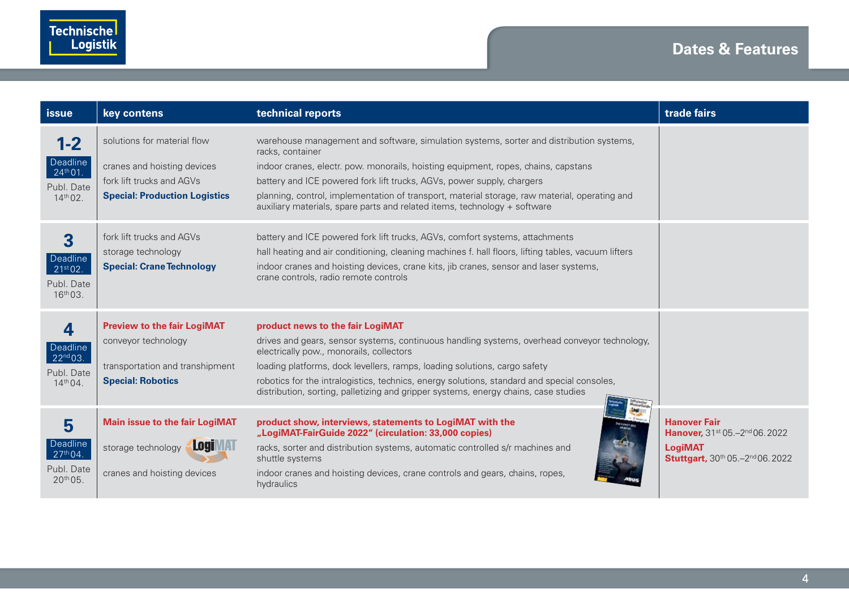| issue                                                                     | key contens                                                                                                                     | technical reports                                                                                                                                                                                                                                                                                                                                                                                                                                         | trade fairs                                                                                                                       |
|---------------------------------------------------------------------------|---------------------------------------------------------------------------------------------------------------------------------|-----------------------------------------------------------------------------------------------------------------------------------------------------------------------------------------------------------------------------------------------------------------------------------------------------------------------------------------------------------------------------------------------------------------------------------------------------------|-----------------------------------------------------------------------------------------------------------------------------------|
| $1 - 2$<br>Deadline<br>24 <sup>th</sup> 01.<br>Publ. Date<br>$14^{th}02.$ | solutions for material flow<br>cranes and hoisting devices<br>fork lift trucks and AGVs<br><b>Special: Production Logistics</b> | warehouse management and software, simulation systems, sorter and distribution systems,<br>racks, container<br>indoor cranes, electr. pow. monorails, hoisting equipment, ropes, chains, capstans<br>battery and ICE powered fork lift trucks, AGVs, power supply, chargers<br>planning, control, implementation of transport, material storage, raw material, operating and<br>auxiliary materials, spare parts and related items, technology + software |                                                                                                                                   |
| $\overline{\mathbf{3}}$<br>Deadline<br>21st 02.<br>Publ. Date<br>16th 03. | fork lift trucks and AGVs<br>storage technology<br><b>Special: Crane Technology</b>                                             | battery and ICE powered fork lift trucks, AGVs, comfort systems, attachments<br>hall heating and air conditioning, cleaning machines f. hall floors, lifting tables, vacuum lifters<br>indoor cranes and hoisting devices, crane kits, jib cranes, sensor and laser systems,<br>crane controls, radio remote controls                                                                                                                                     |                                                                                                                                   |
| 4<br>Deadline<br>22 <sup>nd</sup> 03.<br>Publ. Date<br>$14^{th}04.$       | <b>Preview to the fair LogiMAT</b><br>conveyor technology<br>transportation and transhipment<br><b>Special: Robotics</b>        | product news to the fair LogiMAT<br>drives and gears, sensor systems, continuous handling systems, overhead conveyor technology,<br>electrically pow., monorails, collectors<br>loading platforms, dock levellers, ramps, loading solutions, cargo safety<br>robotics for the intralogistics, technics, energy solutions, standard and special consoles,<br>distribution, sorting, palletizing and gripper systems, energy chains, case studies           |                                                                                                                                   |
| 5<br>Deadline<br>27 <sup>th</sup> 04.<br>Publ. Date<br>$20^{th}05.$       | <b>Main issue to the fair LogiMAT</b><br><b>LogIMAT</b><br>storage technology<br>cranes and hoisting devices                    | product show, interviews, statements to LogiMAT with the<br>"LogiMAT-FairGuide 2022" (circulation: 33,000 copies)<br>racks, sorter and distribution systems, automatic controlled s/r machines and<br>shuttle systems<br>indoor cranes and hoisting devices, crane controls and gears, chains, ropes,<br>hydraulics                                                                                                                                       | <b>Hanover Fair</b><br>Hanover, 31 <sup>st</sup> 05.-2 <sup>nd</sup> 06.2022<br><b>LogiMAT</b><br>Stuttgart, 30th 05.-2nd 06.2022 |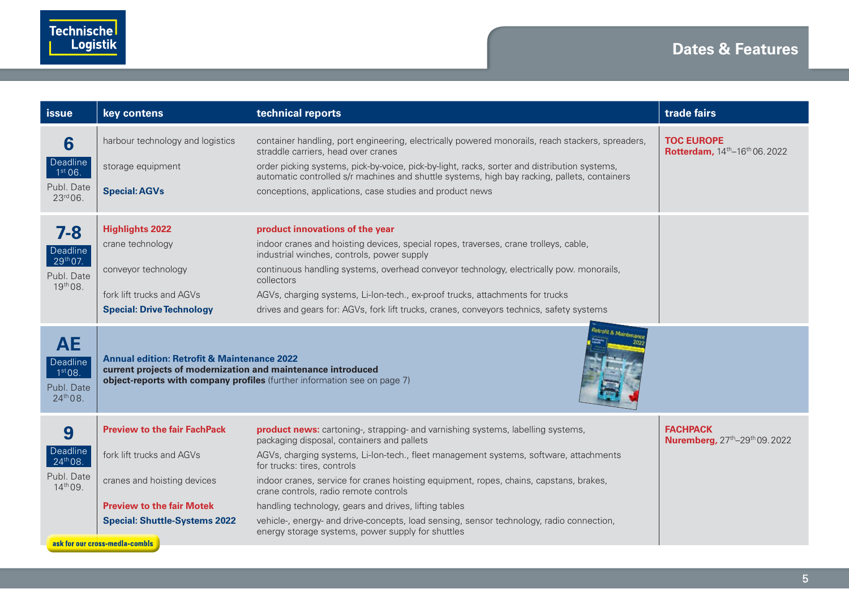| issue                                                           | key contens                                                                                                            | technical reports                                                                                                                                                                                                                       | trade fairs                                                                |
|-----------------------------------------------------------------|------------------------------------------------------------------------------------------------------------------------|-----------------------------------------------------------------------------------------------------------------------------------------------------------------------------------------------------------------------------------------|----------------------------------------------------------------------------|
| 6<br>Deadline<br>1 <sup>st</sup> 06.                            | harbour technology and logistics<br>storage equipment                                                                  | container handling, port engineering, electrically powered monorails, reach stackers, spreaders,<br>straddle carriers, head over cranes<br>order picking systems, pick-by-voice, pick-by-light, racks, sorter and distribution systems, | <b>TOC EUROPE</b><br>Rotterdam, 14 <sup>th</sup> -16 <sup>th</sup> 06.2022 |
| Publ. Date<br>23rd 06.                                          | <b>Special: AGVs</b>                                                                                                   | automatic controlled s/r machines and shuttle systems, high bay racking, pallets, containers<br>conceptions, applications, case studies and product news                                                                                |                                                                            |
| 7-8                                                             | <b>Highlights 2022</b>                                                                                                 | product innovations of the year                                                                                                                                                                                                         |                                                                            |
| <b>Deadline</b>                                                 | crane technology                                                                                                       | indoor cranes and hoisting devices, special ropes, traverses, crane trolleys, cable,<br>industrial winches, controls, power supply                                                                                                      |                                                                            |
| 29 <sup>th</sup> 07.<br>Publ. Date                              | conveyor technology                                                                                                    | continuous handling systems, overhead conveyor technology, electrically pow. monorails,<br>collectors                                                                                                                                   |                                                                            |
| 19th 08.                                                        | fork lift trucks and AGVs                                                                                              | AGVs, charging systems, Li-Ion-tech., ex-proof trucks, attachments for trucks                                                                                                                                                           |                                                                            |
|                                                                 | <b>Special: Drive Technology</b>                                                                                       | drives and gears for: AGVs, fork lift trucks, cranes, conveyors technics, safety systems                                                                                                                                                |                                                                            |
| <b>AE</b><br>Deadline<br>1st 08.<br>Publ, Date<br>$24^{th}08$ . | <b>Annual edition: Retrofit &amp; Maintenance 2022</b><br>current projects of modernization and maintenance introduced | object-reports with company profiles (further information see on page 7)                                                                                                                                                                |                                                                            |
| 9                                                               | <b>Preview to the fair FachPack</b>                                                                                    | product news: cartoning-, strapping- and varnishing systems, labelling systems,<br>packaging disposal, containers and pallets                                                                                                           | <b>FACHPACK</b><br>Nuremberg, 27 <sup>th</sup> -29 <sup>th</sup> 09.2022   |
| Deadline<br>24 <sup>th</sup> 08.                                | fork lift trucks and AGVs                                                                                              | AGVs, charging systems, Li-Ion-tech., fleet management systems, software, attachments<br>for trucks: tires, controls                                                                                                                    |                                                                            |
| Publ, Date<br>$14^{th}$ 09.                                     | cranes and hoisting devices                                                                                            | indoor cranes, service for cranes hoisting equipment, ropes, chains, capstans, brakes,<br>crane controls, radio remote controls                                                                                                         |                                                                            |
|                                                                 | <b>Preview to the fair Motek</b>                                                                                       | handling technology, gears and drives, lifting tables                                                                                                                                                                                   |                                                                            |
|                                                                 | <b>Special: Shuttle-Systems 2022</b><br>ask for our cross-media-combis                                                 | vehicle-, energy- and drive-concepts, load sensing, sensor technology, radio connection,<br>energy storage systems, power supply for shuttles                                                                                           |                                                                            |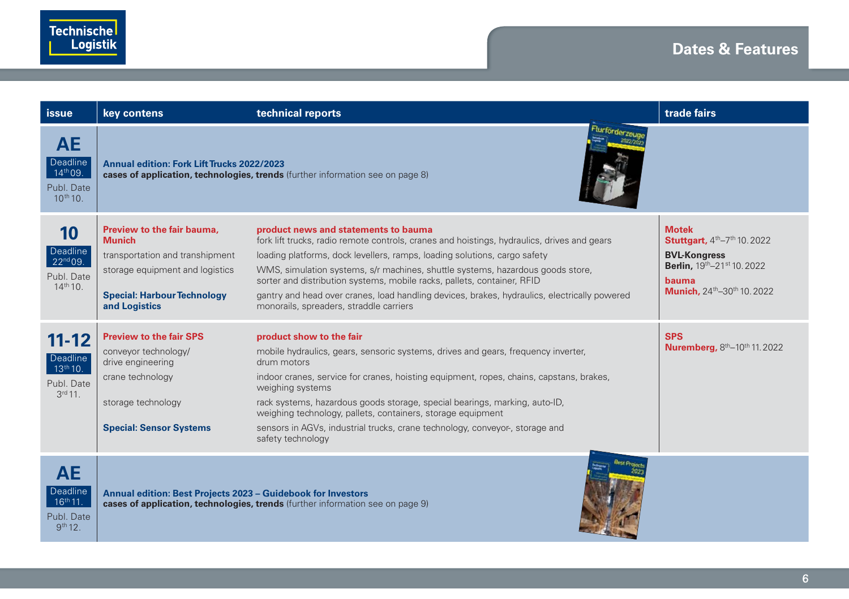| <b>issue</b>                                                             | key contens                                                                                                                                                              | technical reports                                                                                                                                                                                                                                                                                                                                                                                                                                                                                                        | trade fairs                                                                                                                          |
|--------------------------------------------------------------------------|--------------------------------------------------------------------------------------------------------------------------------------------------------------------------|--------------------------------------------------------------------------------------------------------------------------------------------------------------------------------------------------------------------------------------------------------------------------------------------------------------------------------------------------------------------------------------------------------------------------------------------------------------------------------------------------------------------------|--------------------------------------------------------------------------------------------------------------------------------------|
| <b>AE</b><br>Deadline<br>14th 09.<br>Publ, Date<br>10th 10.              | <b>Annual edition: Fork Lift Trucks 2022/2023</b>                                                                                                                        | cases of application, technologies, trends (further information see on page 8)                                                                                                                                                                                                                                                                                                                                                                                                                                           |                                                                                                                                      |
| 10<br>Deadline<br>22nd 09.<br>Publ. Date<br>$14^{th}$ 10.                | Preview to the fair bauma.<br><b>Munich</b><br>transportation and transhipment<br>storage equipment and logistics<br><b>Special: Harbour Technology</b><br>and Logistics | product news and statements to bauma<br>fork lift trucks, radio remote controls, cranes and hoistings, hydraulics, drives and gears<br>loading platforms, dock levellers, ramps, loading solutions, cargo safety<br>WMS, simulation systems, s/r machines, shuttle systems, hazardous goods store,<br>sorter and distribution systems, mobile racks, pallets, container, RFID<br>gantry and head over cranes, load handling devices, brakes, hydraulics, electrically powered<br>monorails, spreaders, straddle carriers | <b>Motek</b><br>Stuttgart, 4th-7th 10.2022<br><b>BVL-Kongress</b><br>Berlin, 19th-21st 10.2022<br>bauma<br>Munich, 24th-30th 10.2022 |
| $11 - 12$<br>Deadline<br>13 <sup>th</sup> 10.<br>Publ. Date<br>$3rd11$ . | <b>Preview to the fair SPS</b><br>conveyor technology/<br>drive engineering<br>crane technology<br>storage technology<br><b>Special: Sensor Systems</b>                  | product show to the fair<br>mobile hydraulics, gears, sensoric systems, drives and gears, frequency inverter,<br>drum motors<br>indoor cranes, service for cranes, hoisting equipment, ropes, chains, capstans, brakes,<br>weighing systems<br>rack systems, hazardous goods storage, special bearings, marking, auto-ID,<br>weighing technology, pallets, containers, storage equipment<br>sensors in AGVs, industrial trucks, crane technology, conveyor-, storage and<br>safety technology                            | <b>SPS</b><br>Nuremberg, 8th-10th 11.2022                                                                                            |
| <b>AE</b><br>Deadline<br>$16^{th}$ 11.<br>Publ, Date<br>$9^{th}12.$      | Annual edition: Best Projects 2023 - Guidebook for Investors                                                                                                             | cases of application, technologies, trends (further information see on page 9)                                                                                                                                                                                                                                                                                                                                                                                                                                           |                                                                                                                                      |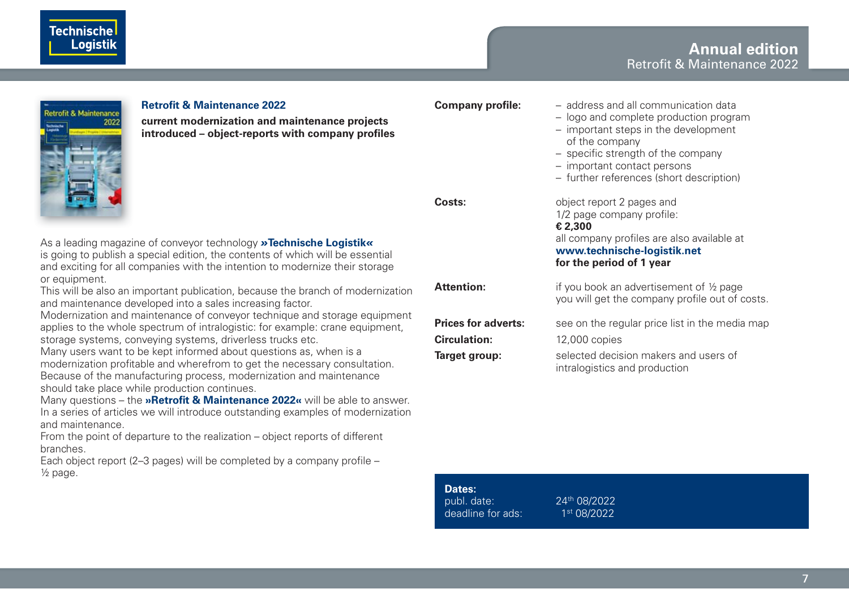#### **Annual edition** Retrofit & Maintenance 2022



#### **Retrofit & Maintenance 2022**

**current modernization and maintenance projects**  introduced – object-reports with company profiles

As a leading magazine of conveyor technology *»***Technische Logistik***«* is going to publish a special edition, the contents of which will be essential and exciting for all companies with the intention to modernize their storage or equipment.

This will be also an important publication, because the branch of modernization and maintenance developed into a sales increasing factor.

Modernization and maintenance of conveyor technique and storage equipment applies to the whole spectrum of intralogistic: for example: crane equipment, storage systems, conveying systems, driverless trucks etc.

Many users want to be kept informed about questions as, when is a modernization profitable and wherefrom to get the necessary consultation. Because of the manufacturing process, modernization and maintenance should take place while production continues.

Many questions – the **»Retrofit & Maintenance 2022«** will be able to answer. In a series of articles we will introduce outstanding examples of modernization and maintenance.

From the point of departure to the realization – object reports of different branches.

Each object report (2-3 pages) will be completed by a company profile  $-$ ½ page.

| Company profile:           | - address and all communication data<br>- logo and complete production program<br>- important steps in the development<br>of the company<br>- specific strength of the company<br>- important contact persons<br>- further references (short description) |
|----------------------------|-----------------------------------------------------------------------------------------------------------------------------------------------------------------------------------------------------------------------------------------------------------|
| Costs:                     | object report 2 pages and<br>1/2 page company profile:<br>€ 2,300<br>all company profiles are also available at<br>www.technische-logistik.net<br>for the period of 1 year                                                                                |
| Attention:                 | if you book an advertisement of 1/2 page<br>you will get the company profile out of costs.                                                                                                                                                                |
| <b>Prices for adverts:</b> | see on the regular price list in the media map                                                                                                                                                                                                            |
| <b>Circulation:</b>        | 12,000 copies                                                                                                                                                                                                                                             |
| Target group:              | selected decision makers and users of<br>intralogistics and production                                                                                                                                                                                    |

**Dates:**<br>publ. date: deadline for ads:  $1<sup>st</sup> 08/2022$ 

publ. date: 24th 08/2022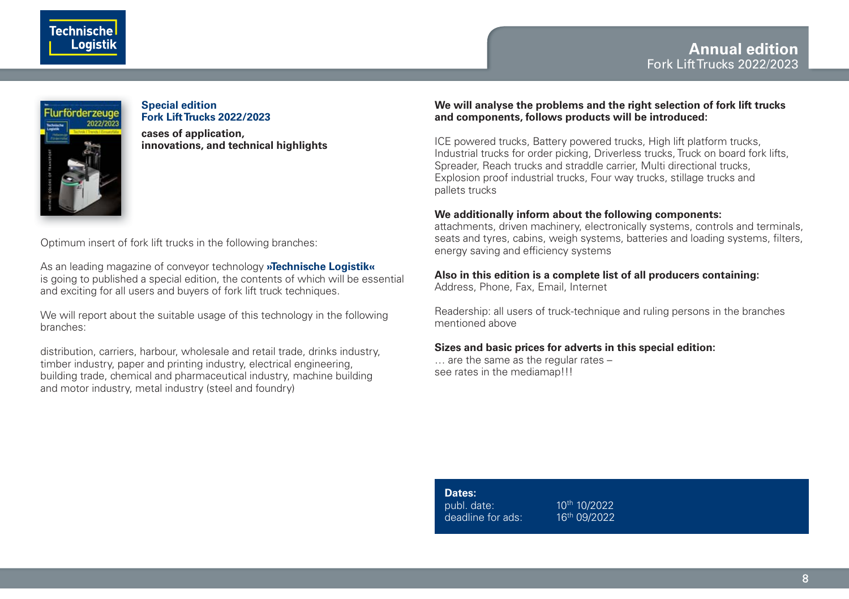



#### **Special edition Fork Lift Trucks 2022/2023**

**cases of application, innovations, and technical highlights** 

Optimum insert of fork lift trucks in the following branches:

As an leading magazine of conveyor technology **»Technische Logistik«**  is going to published a special edition, the contents of which will be essential and exciting for all users and buyers of fork lift truck techniques.

We will report about the suitable usage of this technology in the following branches:

distribution, carriers, harbour, wholesale and retail trade, drinks industry, timber industry, paper and printing industry, electrical engineering, building trade, chemical and pharmaceutical industry, machine building and motor industry, metal industry (steel and foundry)

#### **We will analyse the problems and the right selection of fork lift trucks and components, follows products will be introduced:**

ICE powered trucks, Battery powered trucks, High lift platform trucks, Industrial trucks for order picking, Driverless trucks, Truck on board fork lifts, Spreader, Reach trucks and straddle carrier, Multi directional trucks, Explosion proof industrial trucks, Four way trucks, stillage trucks and pallets trucks

#### **We additionally inform about the following components:**

attachments, driven machinery, electronically systems, controls and terminals, seats and tyres, cabins, weigh systems, batteries and loading systems, filters, energy saving and efficiency systems

#### **Also in this edition is a complete list of all producers containing:**

Address, Phone, Fax, Email, Internet

Readership: all users of truck-technique and ruling persons in the branches mentioned above

#### **Sizes and basic prices for adverts in this special edition:**

… are the same as the regular rates – see rates in the mediamap!!!

| Dates:            |                          |
|-------------------|--------------------------|
| publ. date:       | 10 <sup>th</sup> 10/2022 |
| deadline for ads: | 16th 09/2022             |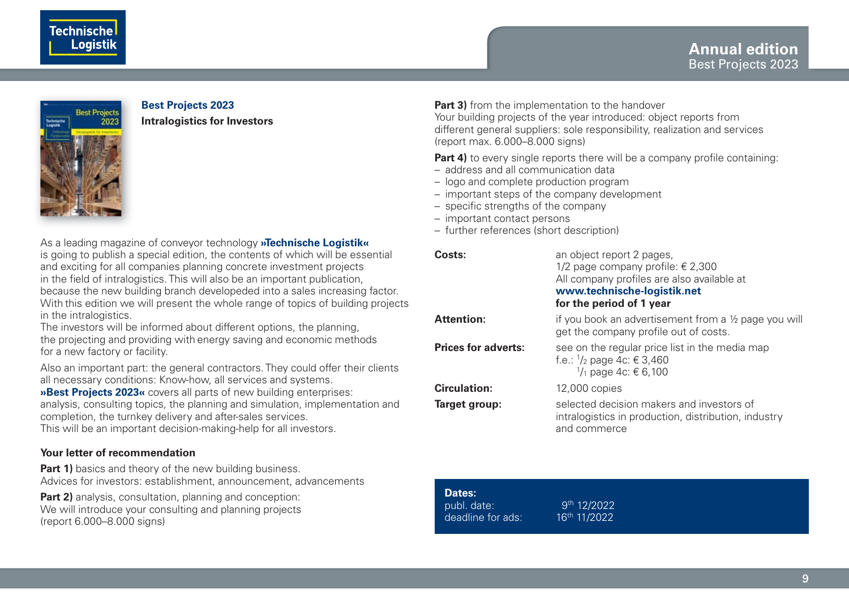





### **Best Projects 2023**

**Intralogistics for Investors**

As a leading magazine of conveyor technology **»Technische Logistik«** is going to publish a special edition, the contents of which will be essential and exciting for all companies planning concrete investment projects in the field of intralogistics. This will also be an important publication, because the new building branch developeded into a sales increasing factor. With this edition we will present the whole range of topics of building projects in the intralogistics.

The investors will be informed about different options, the planning, the projecting and providing with energy saving and economic methods for a new factory or facility.

Also an important part: the general contractors. They could offer their clients all necessary conditions: Know-how, all services and systems.

»Best Projects 2023« covers all parts of new building enterprises: analysis, consulting topics, the planning and simulation, implementation and completion, the turnkey delivery and after-sales services.

This will be an important decision-making-help for all investors.

#### **Your letter of recommendation**

**Part 1)** basics and theory of the new building business. Advices for investors: establishment, announcement, advancements

**Part 2)** analysis, consultation, planning and conception: We will introduce your consulting and planning projects (report 6.000–8.000 signs)

**Part 3)** from the implementation to the handover Your building projects of the year introduced: object reports from different general suppliers: sole responsibility, realization and services (report max. 6.000–8.000 signs)

**Part 4)** to every single reports there will be a company profile containing:

- address and all communication data
- logo and complete production program
- important steps of the company development
- $-$  specific strengths of the company
- important contact persons
- further references (short description)

| Costs:                     | an object report 2 pages,<br>1/2 page company profile: $\epsilon$ 2,300<br>All company profiles are also available at<br>www.technische-logistik.net<br>for the period of 1 year |
|----------------------------|----------------------------------------------------------------------------------------------------------------------------------------------------------------------------------|
| Attention:                 | if you book an advertisement from a 1/2 page you will<br>get the company profile out of costs.                                                                                   |
| <b>Prices for adverts:</b> | see on the regular price list in the media map<br>f.e.: $\frac{1}{2}$ page 4c: € 3,460<br>$\frac{1}{1}$ page 4c: € 6.100                                                         |
| Circulation:               | 12,000 copies                                                                                                                                                                    |
| Target group:              | selected decision makers and investors of<br>intralogistics in production, distribution, industry<br>and commerce                                                                |

| Dates:            |                         |
|-------------------|-------------------------|
| publ. date:       | 9 <sup>th</sup> 12/2022 |
| deadline for ads: | 16th 11/2022            |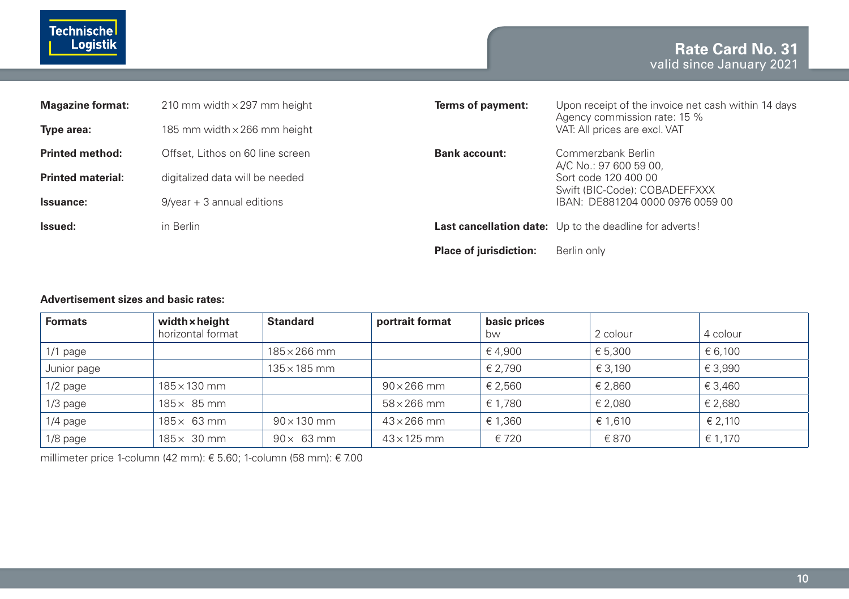

| <b>Magazine format:</b>  | 210 mm width $\times$ 297 mm height | Terms of payment:             | Upon receipt of the invoice net cash within 14 days<br>Agency commission rate: 15 % |  |
|--------------------------|-------------------------------------|-------------------------------|-------------------------------------------------------------------------------------|--|
| Type area:               | 185 mm width $\times$ 266 mm height |                               | VAT: All prices are excl. VAT                                                       |  |
| <b>Printed method:</b>   | Offset, Lithos on 60 line screen    | <b>Bank account:</b>          | Commerzbank Berlin<br>A/C No.: 97 600 59 00.                                        |  |
| <b>Printed material:</b> | digitalized data will be needed     |                               | Sort code 120 400 00<br>Swift (BIC-Code): COBADEFFXXX                               |  |
| Issuance:                | $9$ /year + 3 annual editions       |                               | IBAN: DE881204 0000 0976 0059 00                                                    |  |
| Issued:                  | in Berlin                           |                               | <b>Last cancellation date:</b> Up to the deadline for adverts!                      |  |
|                          |                                     | <b>Place of jurisdiction:</b> | Berlin only                                                                         |  |

#### **Advertisement sizes and basic rates:**

| <b>Formats</b> | width x height<br>horizontal format | <b>Standard</b>     | portrait format    | basic prices<br>bw | 2 colour | 4 colour |
|----------------|-------------------------------------|---------------------|--------------------|--------------------|----------|----------|
| $1/1$ page     |                                     | $185\times266$ mm   |                    | €4,900             | € 5,300  | € 6,100  |
| Junior page    |                                     | $135 \times 185$ mm |                    | € 2.790            | € 3.190  | € 3,990  |
| $1/2$ page     | $185 \times 130$ mm                 |                     | $90 \times 266$ mm | € 2,560            | € 2,860  | € 3,460  |
| $1/3$ page     | $185 \times 85$ mm                  |                     | $58\times266$ mm   | € 1,780            | € 2,080  | € 2,680  |
| $1/4$ page     | $185\times 63$ mm                   | $90 \times 130$ mm  | $43\times266$ mm   | € 1.360            | € 1.610  | € 2.110  |
| $1/8$ page     | $185 \times 30$ mm                  | $90 \times 63$ mm   | $43 \times 125$ mm | € 720              | € 870    | € 1.170  |

millimeter price 1-column (42 mm): € 5.60; 1-column (58 mm): € 7.00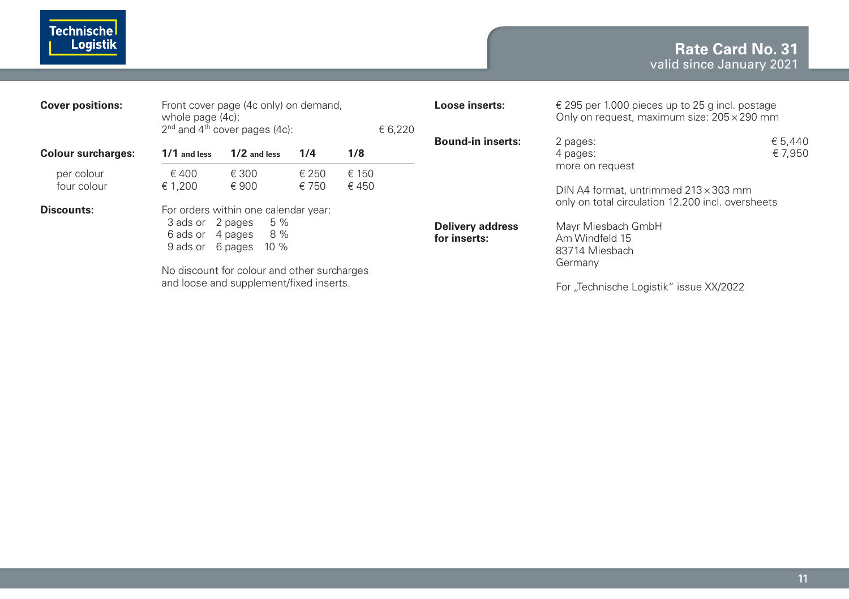### **Rate Card No. 31** valid since January 2021

| <b>Cover positions:</b>   | Front cover page (4c only) on demand.<br>whole page (4c):<br>$2nd$ and $4th$ cover pages (4c): |                                                                         |                |                | € 6.220 | Loose inserts:                          | $\epsilon$ 295 per 1.000 pieces up to 25 g incl. postage<br>Only on request, maximum size: $205 \times 290$ mm         |                    |
|---------------------------|------------------------------------------------------------------------------------------------|-------------------------------------------------------------------------|----------------|----------------|---------|-----------------------------------------|------------------------------------------------------------------------------------------------------------------------|--------------------|
| <b>Colour surcharges:</b> | 1/1 and less                                                                                   | $1/2$ and less                                                          | 1/4            | 1/8            |         | <b>Bound-in inserts:</b>                | 2 pages:<br>4 pages:                                                                                                   | € 5.440<br>€ 7.950 |
| per colour<br>four colour | ∈ 400<br>€ 1.200                                                                               | € 300<br>€900                                                           | € 250<br>€ 750 | ∈ 150<br>€ 450 |         |                                         | more on request<br>DIN A4 format, untrimmed $213 \times 303$ mm                                                        |                    |
| Discounts:                | 3 ads or 2 pages<br>6 ads or<br>9 ads or 6 pages                                               | For orders within one calendar year:<br>5 %<br>8 %<br>4 pages<br>$10\%$ |                |                |         | <b>Delivery address</b><br>for inserts: | only on total circulation 12.200 incl. oversheets<br>Mayr Miesbach GmbH<br>Am Windfeld 15<br>83714 Miesbach<br>Germany |                    |
|                           | No discount for colour and other surcharges<br>and loose and supplement/fixed inserts.         |                                                                         |                |                |         |                                         | For "Technische Logistik" issue XX/2022                                                                                |                    |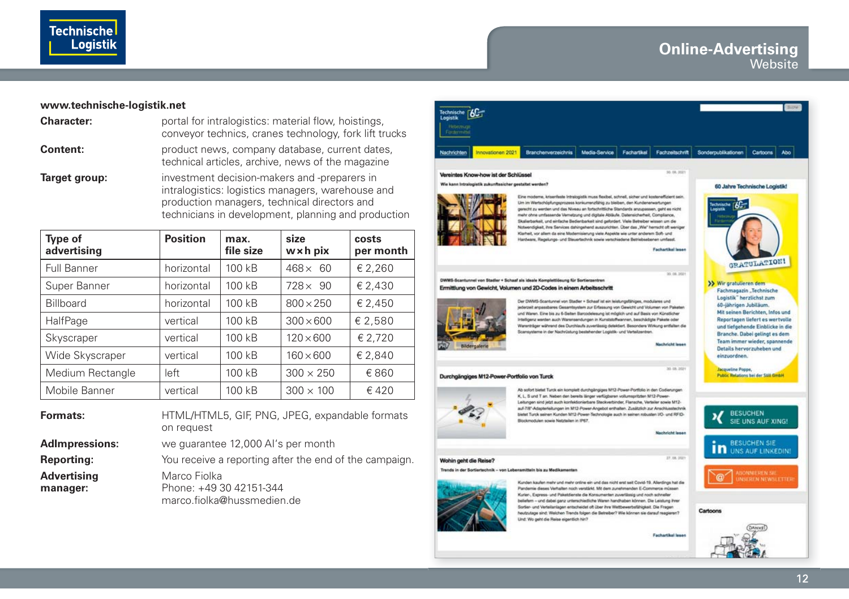

#### **www.technische-logistik.net**

| <b>Character:</b> | portal for intralogistics: material flow, hoistings,<br>conveyor technics, cranes technology, fork lift trucks                                                                                           |
|-------------------|----------------------------------------------------------------------------------------------------------------------------------------------------------------------------------------------------------|
| Content:          | product news, company database, current dates,<br>technical articles, archive, news of the magazine                                                                                                      |
| Target group:     | investment decision-makers and -preparers in<br>intralogistics: logistics managers, warehouse and<br>production managers, technical directors and<br>technicians in development, planning and production |

| Type of<br>advertising | <b>Position</b> | max.<br>file size | size<br>$w \times h$ pix | costs<br>per month |
|------------------------|-----------------|-------------------|--------------------------|--------------------|
| Full Banner            | horizontal      | 100 kB            | $468 \times 60$          | € 2,260            |
| Super Banner           | horizontal      | 100 kB            | $728 \times 90$          | € 2,430            |
| <b>Billboard</b>       | horizontal      | 100 kB            | $800 \times 250$         | € 2,450            |
| HalfPage               | vertical        | 100 kB            | $300 \times 600$         | € 2,580            |
| Skyscraper             | vertical        | 100 kB            | $120 \times 600$         | € 2,720            |
| Wide Skyscraper        | vertical        | 100 kB            | $160 \times 600$         | € 2,840            |
| Medium Rectangle       | left            | 100 kB            | $300 \times 250$         | €860               |
| Mobile Banner          | vertical        | 100 kB            | $300 \times 100$         | € 420              |

**Formats:** HTML/HTML5, GIF, PNG, JPEG, expandable formats on request

**AdImpressions:** we guarantee 12,000 AI's per month

**Reporting:** You receive a reporting after the end of the campaign. **Advertising** Marco Fiolka **manager:** Phone: +49 30 42151-344

marco.fiolka@hussmedien.de



Pandemie dieses Verhalten noch verstärkt. Mit dem zunehmenden E-Commerce müssen Kurier-, Express- und Paketdienste die Konsumenten zuverlässig und noch schneller beliefern - und dabei ganz unterschiedliche Waren handhaben können. Die Leistung ihrer Sorier- und Verteilanlagen entscheidet oft über ihre Wettbewerbsfähigkeit. Die Fragen heutzutage sind: Welchen Trends folgen die Betreber? Wie können sie darauf reagieren? Und: Wo geht die Reise eigentlich hin?

**Fachartikel leser** 



Cartoons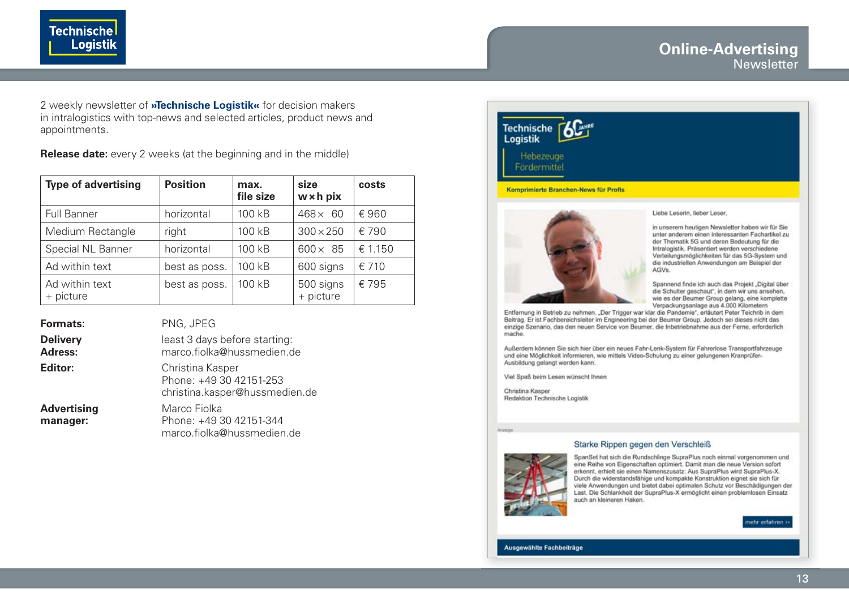#### **Online-Advertising Newsletter**

2 weekly newsletter of **»Technische Logistik«** for decision makers in intralogistics with top-news and selected articles, product news and appointments.

**Technische** 

**Release date:** every 2 weeks (at the beginning and in the middle)

| <b>Type of advertising</b>  | <b>Position</b> | max.<br>file size | size<br>w x h pix      | costs   |
|-----------------------------|-----------------|-------------------|------------------------|---------|
| <b>Full Banner</b>          | horizontal      | 100 kB            | $468\times$<br>60      | €960    |
| Medium Rectangle            | right           | $100$ kB          | $300 \times 250$       | € 790   |
| Special NL Banner           | horizontal      | 100 kB            | $600 \times 85$        | € 1.150 |
| Ad within text              | best as poss.   | 100 kB            | 600 signs              | €710    |
| Ad within text<br>+ picture | best as poss.   | 100 kB            | 500 signs<br>+ picture | € 795   |

| Formats:                   | PNG, JPEG                                                                     |
|----------------------------|-------------------------------------------------------------------------------|
| <b>Delivery</b><br>Adress: | least 3 days before starting:<br>marco.fiolka@hussmedien.de                   |
| Editor:                    | Christina Kasper<br>Phone: +49 30 42151-253<br>christina.kasper@hussmedien.de |
| Advertising<br>manager:    | Marco Fiolka<br>Phone: +49 30 42151-344<br>marco.fiolka@hussmedien.de         |

# **Technische** Logistik Hebezeuge Fördermittel Komprimierte Branchen-News für Profis



Liebe Leserin, lieber Leser,

in unserem heutigen Newsletter haben wir für Sie unter anderem einen interessanten Fachartikel zu der Thematik 5G und deren Bedeutung für die Intralogistik. Präsentiert werden verschiedene Verteilungsmöglichkeiten für das 5G-System und die industriellen Anwendungen am Beispiel der AGVs.

Spannend finde ich auch das Projekt "Digital über die Schulter geschaut", in dem wir uns ansehen, wie es der Beumer Group gelang, eine komplette Verpackungsanlage aus 4.000 Kilometern

Entfernung in Betrieb zu nehmen. "Der Trigger war klar die Pandemie", erläutert Peter Teichrib in dem Beitrag. Er ist Fachbereichsleiter im Engineering bei der Beumer Group. Jedoch sei dieses nicht das einzige Szenario, das den neuen Service von Beumer, die Inbetriebnahme aus der Ferne, erforderlich mache.

Außerdem können Sie sich hier über ein neues Fahr-Lenk-System für Fahrerlose Transportfahrzeuge und eine Möglichkeit informieren, wie mittels Video-Schulung zu einer gelungenen Kranprüfer-Ausbildung gelangt werden kann.

Viel Spaß beim Lesen wünscht Ihnen

Christina Kasper Redaktion Technische Logistik



Starke Rippen gegen den Verschleiß

SpanSet hat sich die Rundschlinge SupraPlus noch einmal vorgenommen und eine Reihe von Eigenschaften optimiert. Damit man die neue Version sofort erkennt, erhielt sie einen Namenszusatz: Aus SupraPlus wird SupraPlus-X. Durch die widerstandsfähige und kompakte Konstruktion eignet sie sich für viele Anwendungen und bietet dabei optimalen Schutz vor Beschädigungen der Last. Die Schlankheit der SupraPlus-X ermöglicht einen problemlosen Einsatz auch an kleineren Haken.

nehr erfahren »

Ausgewählte Fachbeiträge